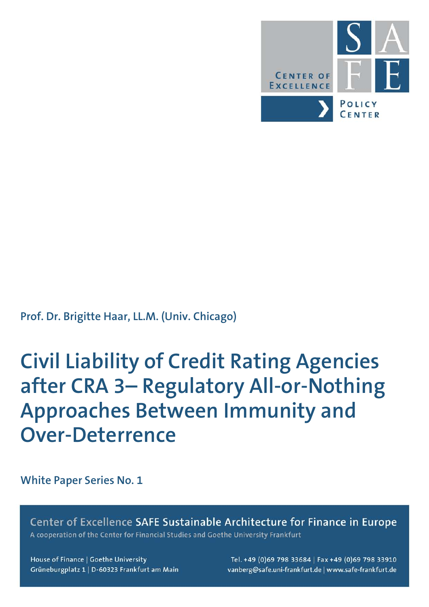

**Prof. Dr. Brigitte Haar, LL.M. (Univ. Chicago)**

# **Civil Liability of Credit Rating Agencies after CRA 3– Regulatory All-or-Nothing Approaches Between Immunity and Over-Deterrence**

**White Paper Series No. 1**

Center of Excellence SAFE Sustainable Architecture for Finance in Europe A cooperation of the Center for Financial Studies and Goethe University Frankfurt

House of Finance | Goethe University Grüneburgplatz 1 | D-60323 Frankfurt am Main

Tel. +49 (0)69 798 33684 | Fax +49 (0)69 798 33910 vanberg@safe.uni-frankfurt.de | www.safe-frankfurt.de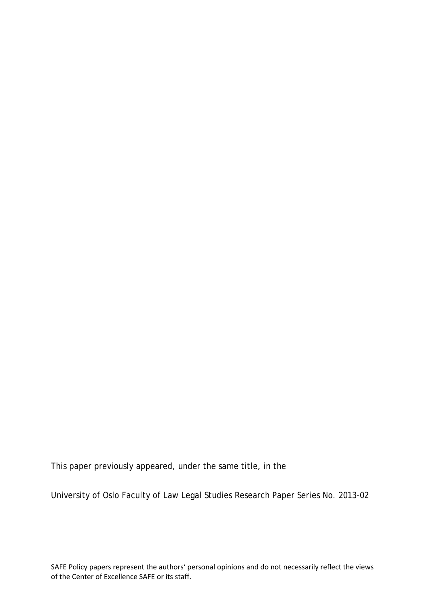This paper previously appeared, under the same title, in the

University of Oslo Faculty of Law Legal Studies Research Paper Series No. 2013-02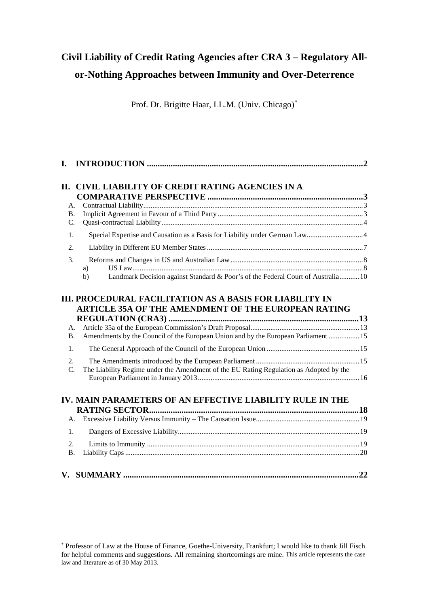# **Civil Liability of Credit Rating Agencies after CRA 3 – Regulatory Allor-Nothing Approaches between Immunity and Over-Deterrence**

Prof. Dr. Brigitte Haar, LL.M. (Univ. Chicago)[∗](#page-2-0)

| I.              |                                                                                                                               |
|-----------------|-------------------------------------------------------------------------------------------------------------------------------|
| II.             | <b>CIVIL LIABILITY OF CREDIT RATING AGENCIES IN A</b>                                                                         |
| А.              |                                                                                                                               |
| <b>B.</b><br>C. |                                                                                                                               |
| 1.              |                                                                                                                               |
| 2.              |                                                                                                                               |
| 3.              |                                                                                                                               |
|                 | a)<br>Landmark Decision against Standard & Poor's of the Federal Court of Australia 10<br>b)                                  |
|                 | <b>III. PROCEDURAL FACILITATION AS A BASIS FOR LIABILITY IN</b><br><b>ARTICLE 35A OF THE AMENDMENT OF THE EUROPEAN RATING</b> |
| А.              |                                                                                                                               |
| <b>B.</b>       | Amendments by the Council of the European Union and by the European Parliament  15                                            |
| 1.              |                                                                                                                               |
| 2.<br>C.        | The Liability Regime under the Amendment of the EU Rating Regulation as Adopted by the                                        |
|                 |                                                                                                                               |
|                 | IV. MAIN PARAMETERS OF AN EFFECTIVE LIABILITY RULE IN THE                                                                     |
|                 |                                                                                                                               |
| А.              |                                                                                                                               |
| 1.              |                                                                                                                               |
| 2.              |                                                                                                                               |
| <b>B.</b>       |                                                                                                                               |
|                 |                                                                                                                               |

<span id="page-2-0"></span><sup>∗</sup> Professor of Law at the House of Finance, Goethe-University, Frankfurt; I would like to thank Jill Fisch for helpful comments and suggestions. All remaining shortcomings are mine. This article represents the case law and literature as of 30 May 2013.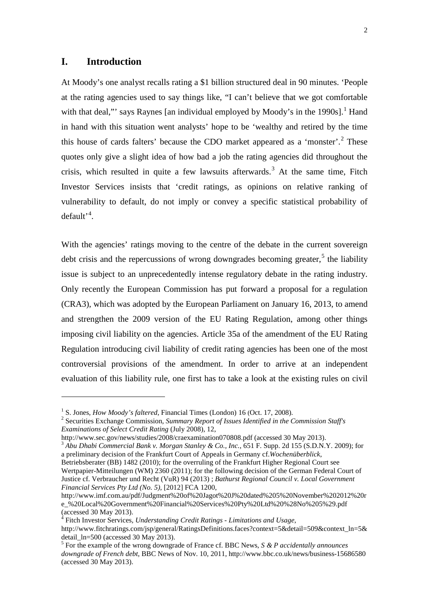## <span id="page-3-0"></span>**I. Introduction**

-

At Moody's one analyst recalls rating a \$1 billion structured deal in 90 minutes. 'People at the rating agencies used to say things like, "I can't believe that we got comfortable with that deal," says Raynes [an individual employed by Moody's in the [1](#page-3-1)990s].<sup>1</sup> Hand in hand with this situation went analysts' hope to be 'wealthy and retired by the time this house of cards falters' because the CDO market appeared as a 'monster'.<sup>[2](#page-3-2)</sup> These quotes only give a slight idea of how bad a job the rating agencies did throughout the crisis, which resulted in quite a few lawsuits afterwards.<sup>[3](#page-3-3)</sup> At the same time, Fitch Investor Services insists that 'credit ratings, as opinions on relative ranking of vulnerability to default, do not imply or convey a specific statistical probability of  $default$ <sup>, [4](#page-3-4)</sup>.

With the agencies' ratings moving to the centre of the debate in the current sovereign debt crisis and the repercussions of wrong downgrades becoming greater,<sup>[5](#page-3-5)</sup> the liability issue is subject to an unprecedentedly intense regulatory debate in the rating industry. Only recently the European Commission has put forward a proposal for a regulation (CRA3), which was adopted by the European Parliament on January 16, 2013, to amend and strengthen the 2009 version of the EU Rating Regulation, among other things imposing civil liability on the agencies. Article 35a of the amendment of the EU Rating Regulation introducing civil liability of credit rating agencies has been one of the most controversial provisions of the amendment. In order to arrive at an independent evaluation of this liability rule, one first has to take a look at the existing rules on civil

<span id="page-3-2"></span><span id="page-3-1"></span><sup>&</sup>lt;sup>1</sup> S. Jones, *How Moody's faltered*, Financial Times (London) 16 (Oct. 17, 2008).<br><sup>2</sup> Securities Exchange Commission, *Summary Report of Issues Identified in the Commission Staff's [Examinations of Select Credit Rating](http://www.sec.gov/news/studies/2008/craexamination070808.pdf)* (July 2008), 12,<br>http://www.sec.gov/news/studies/2008/craexamination070808.pdf (accessed 30 May 2013).

<span id="page-3-3"></span>

 $h^3$  Abu Dhabi Commercial Bank v. Morgan Stanley & Co., Inc., 651 F. Supp. 2d 155 (S.D.N.Y. 2009); for a preliminary decision of the Frankfurt Court of Appeals in Germany cf.*Wochenüberblick*,

Betriebsberater (BB) 1482 (2010); for the overruling of the Frankfurt Higher Regional Court see Wertpapier-Mitteilungen (WM) 2360 (2011); for the following decision of the German Federal Court of Justice cf. Verbraucher und Recht (VuR) 94 (2013) ; *Bathurst Regional Council v. Local Government Financial Services Pty Ltd (No. 5),* [2012] FCA 1200,

http://www.imf.com.au/pdf/Judgment%20of%20Jagot%20J%20dated%205%20November%202012%20r e\_%20Local%20Government%20Financial%20Services%20Pty%20Ltd%20%28No%205%29.pdf (accessed 30 May 2013). <sup>4</sup> Fitch Investor Services*, Understanding Credit Ratings - Limitations and Usage*,

<span id="page-3-4"></span>http://www.fitchratings.com/jsp/general/RatingsDefinitions.faces?context=5&detail=509&context\_ln=5& detail\_ln=500 (accessed 30 May 2013).<br><sup>5</sup> For the example of the wrong downgrade of France cf. BBC News, *S & P accidentally announces* 

<span id="page-3-5"></span>*downgrade of French debt*, BBC News of Nov. 10, 2011, http://www.bbc.co.uk/news/business-15686580 (accessed 30 May 2013).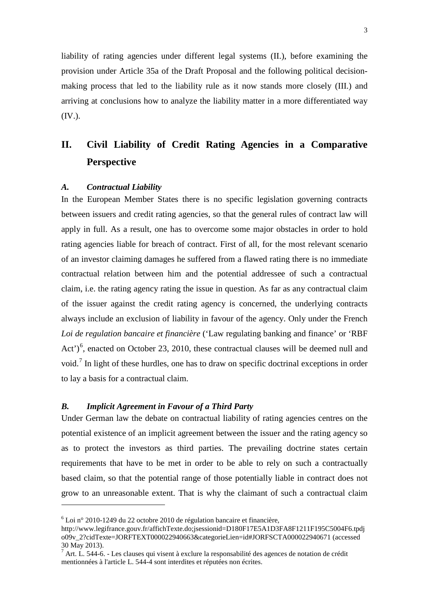liability of rating agencies under different legal systems (II.), before examining the provision under Article 35a of the Draft Proposal and the following political decisionmaking process that led to the liability rule as it now stands more closely (III.) and arriving at conclusions how to analyze the liability matter in a more differentiated way (IV.).

# <span id="page-4-0"></span>**II. Civil Liability of Credit Rating Agencies in a Comparative Perspective**

## <span id="page-4-1"></span>*A. Contractual Liability*

In the European Member States there is no specific legislation governing contracts between issuers and credit rating agencies, so that the general rules of contract law will apply in full. As a result, one has to overcome some major obstacles in order to hold rating agencies liable for breach of contract. First of all, for the most relevant scenario of an investor claiming damages he suffered from a flawed rating there is no immediate contractual relation between him and the potential addressee of such a contractual claim, i.e. the rating agency rating the issue in question. As far as any contractual claim of the issuer against the credit rating agency is concerned, the underlying contracts always include an exclusion of liability in favour of the agency. Only under the French *Loi de regulation bancaire et financière* ('Law regulating banking and finance' or 'RBF Act' $)$ <sup>[6](#page-4-3)</sup>, enacted on October 23, 2010, these contractual clauses will be deemed null and void.[7](#page-4-4) In light of these hurdles, one has to draw on specific doctrinal exceptions in order to lay a basis for a contractual claim.

### <span id="page-4-2"></span>*B. Implicit Agreement in Favour of a Third Party*

Under German law the debate on contractual liability of rating agencies centres on the potential existence of an implicit agreement between the issuer and the rating agency so as to protect the investors as third parties. The prevailing doctrine states certain requirements that have to be met in order to be able to rely on such a contractually based claim, so that the potential range of those potentially liable in contract does not grow to an unreasonable extent. That is why the claimant of such a contractual claim

<span id="page-4-3"></span> $6$  Loi n° 2010-1249 du 22 octobre 2010 de régulation bancaire et financière.

http://www.legifrance.gouv.fr/affichTexte.do;jsessionid=D180F17E5A1D3FA8F1211F195C5004F6.tpdj o09v\_2?cidTexte=JORFTEXT000022940663&categorieLien=id#JORFSCTA000022940671 (accessed 30 May 2013).<br><sup>7</sup> Art. L. 544-6. - Les clauses qui visent à exclure la responsabilité des agences de notation de crédit

<span id="page-4-4"></span>mentionnées à l'article L. 544-4 sont interdites et réputées non écrites.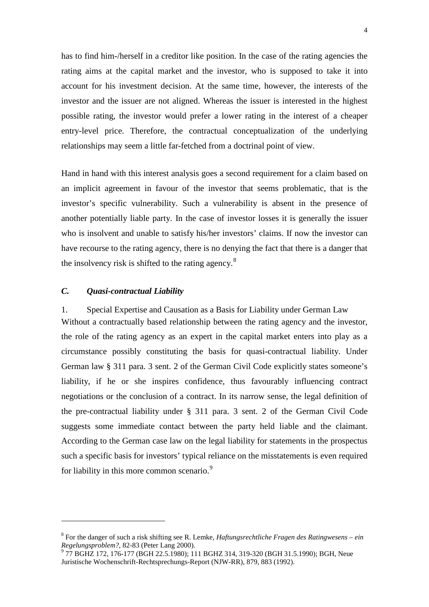has to find him-/herself in a creditor like position. In the case of the rating agencies the rating aims at the capital market and the investor, who is supposed to take it into account for his investment decision. At the same time, however, the interests of the investor and the issuer are not aligned. Whereas the issuer is interested in the highest possible rating, the investor would prefer a lower rating in the interest of a cheaper entry-level price. Therefore, the contractual conceptualization of the underlying relationships may seem a little far-fetched from a doctrinal point of view.

Hand in hand with this interest analysis goes a second requirement for a claim based on an implicit agreement in favour of the investor that seems problematic, that is the investor's specific vulnerability. Such a vulnerability is absent in the presence of another potentially liable party. In the case of investor losses it is generally the issuer who is insolvent and unable to satisfy his/her investors' claims. If now the investor can have recourse to the rating agency, there is no denying the fact that there is a danger that the insolvency risk is shifted to the rating agency. $8$ 

### <span id="page-5-0"></span>*C. Quasi-contractual Liability*

-

<span id="page-5-1"></span>1. Special Expertise and Causation as a Basis for Liability under German Law Without a contractually based relationship between the rating agency and the investor, the role of the rating agency as an expert in the capital market enters into play as a circumstance possibly constituting the basis for quasi-contractual liability. Under German law § 311 para. 3 sent. 2 of the German Civil Code explicitly states someone's liability, if he or she inspires confidence, thus favourably influencing contract negotiations or the conclusion of a contract. In its narrow sense, the legal definition of the pre-contractual liability under § 311 para. 3 sent. 2 of the German Civil Code suggests some immediate contact between the party held liable and the claimant. According to the German case law on the legal liability for statements in the prospectus such a specific basis for investors' typical reliance on the misstatements is even required for liability in this more common scenario.<sup>[9](#page-5-3)</sup>

<span id="page-5-2"></span><sup>8</sup> For the danger of such a risk shifting see R. Lemke*, Haftungsrechtliche Fragen des Ratingwesens – ein* 

<span id="page-5-3"></span><sup>&</sup>lt;sup>9</sup> 77 BGHZ 172, 176-177 (BGH 22.5.1980); 111 BGHZ 314, 319-320 (BGH 31.5.1990); BGH, Neue Juristische Wochenschrift-Rechtsprechungs-Report (NJW-RR), 879, 883 (1992).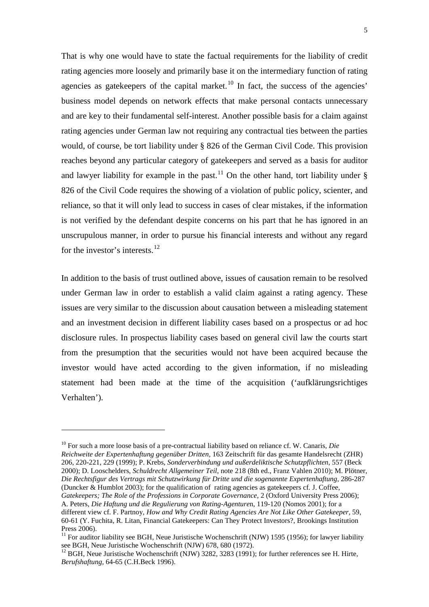That is why one would have to state the factual requirements for the liability of credit rating agencies more loosely and primarily base it on the intermediary function of rating agencies as gatekeepers of the capital market.<sup>[10](#page-6-0)</sup> In fact, the success of the agencies' business model depends on network effects that make personal contacts unnecessary and are key to their fundamental self-interest. Another possible basis for a claim against rating agencies under German law not requiring any contractual ties between the parties would, of course, be tort liability under § 826 of the German Civil Code. This provision reaches beyond any particular category of gatekeepers and served as a basis for auditor and lawyer liability for example in the past.<sup>[11](#page-6-1)</sup> On the other hand, tort liability under § 826 of the Civil Code requires the showing of a violation of public policy, scienter, and reliance, so that it will only lead to success in cases of clear mistakes, if the information is not verified by the defendant despite concerns on his part that he has ignored in an unscrupulous manner, in order to pursue his financial interests and without any regard for the investor's interests.<sup>[12](#page-6-2)</sup>

In addition to the basis of trust outlined above, issues of causation remain to be resolved under German law in order to establish a valid claim against a rating agency. These issues are very similar to the discussion about causation between a misleading statement and an investment decision in different liability cases based on a prospectus or ad hoc disclosure rules. In prospectus liability cases based on general civil law the courts start from the presumption that the securities would not have been acquired because the investor would have acted according to the given information, if no misleading statement had been made at the time of the acquisition ('aufklärungsrichtiges Verhalten').

-

*Gatekeepers; The Role of the Professions in Corporate Governance*, 2 (Oxford University Press 2006); A. Peters, *Die Haftung und die Regulierung von Rating-Agenture*n, 119-120 (Nomos 2001); for a different view cf. F. Partnoy*, How and Why Credit Rating Agencies Are Not Like Other Gatekeeper,* 59, 60-61 (Y. Fuchita, R. Litan, Financial Gatekeepers: Can They Protect Investors?, Brookings Institution Press 2006).

<span id="page-6-0"></span><sup>10</sup> For such a more loose basis of a pre-contractual liability based on reliance cf. W. Canaris*, [Die](http://esx-173.gbv.de/mpi_rdg/Record/1553385128)  [Reichweite der Expertenhaftung gegenüber Dritten,](http://esx-173.gbv.de/mpi_rdg/Record/1553385128)* 163 Zeitschrift für das gesamte Handelsrecht (ZHR) 206, 220-221, 229 (1999); P. Krebs, *Sonderverbindung und außerdeliktische Schutzpflichten*, 557 (Beck 2000); D. Looschelders, *Schuldrecht Allgemeiner Teil*, note 218 (8th ed., Franz Vahlen 2010); M. Plötner, *Die Rechtsfigur des Vertrags mit Schutzwirkung für Dritte und die sogenannte Expertenhaftung*, 286-287 (Duncker & Humblot 2003); for the qualification of rating agencies as gatekeepers cf*.* J. Coffee,

<span id="page-6-1"></span><sup>&</sup>lt;sup>11</sup> For auditor liability see BGH, Neue Juristische Wochenschrift (NJW) 1595 (1956); for lawyer liability see BGH, Neue Juristische Wochenschrift (NJW) 678, 680 (1972).

<span id="page-6-2"></span> $12$  BGH, Neue Juristische Wochenschrift (NJW) 3282, 3283 (1991); for further references see H. Hirte, *Berufshaftung*, 64-65 (C.H.Beck 1996).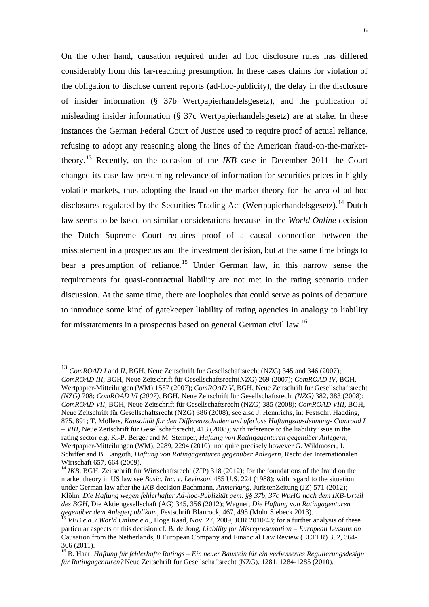On the other hand, causation required under ad hoc disclosure rules has differed considerably from this far-reaching presumption. In these cases claims for violation of the obligation to disclose current reports (ad-hoc-publicity), the delay in the disclosure of insider information (§ 37b Wertpapierhandelsgesetz), and the publication of misleading insider information (§ 37c Wertpapierhandelsgesetz) are at stake. In these instances the German Federal Court of Justice used to require proof of actual reliance, refusing to adopt any reasoning along the lines of the American fraud-on-the-markettheory.[13](#page-7-0) Recently, on the occasion of the *IKB* case in December 2011 the Court changed its case law presuming relevance of information for securities prices in highly volatile markets, thus adopting the fraud-on-the-market-theory for the area of ad hoc disclosures regulated by the Securities Trading Act (Wertpapierhandelsgesetz).<sup>[14](#page-7-1)</sup> Dutch law seems to be based on similar considerations because in the *World Online* decision the Dutch Supreme Court requires proof of a causal connection between the misstatement in a prospectus and the investment decision, but at the same time brings to bear a presumption of reliance. [15](#page-7-2) Under German law, in this narrow sense the requirements for quasi-contractual liability are not met in the rating scenario under discussion. At the same time, there are loopholes that could serve as points of departure to introduce some kind of gatekeeper liability of rating agencies in analogy to liability for misstatements in a prospectus based on general German civil law.<sup>[16](#page-7-3)</sup>

<span id="page-7-0"></span><sup>&</sup>lt;sup>13</sup> *ComROAD I* and *II*, BGH, Neue Zeitschrift für Gesellschaftsrecht (NZG) 345 and 346 (2007); *ComROAD III*, BGH, Neue Zeitschrift für Gesellschaftsrecht(NZG) 269 (2007); *ComROAD IV*, BGH, Wertpapier-Mitteilungen (WM) 1557 (2007); *ComROAD V*, BGH, Neue Zeitschrift für Gesellschaftsrecht *(NZG)* 708; *ComROAD VI (2007),* BGH, Neue Zeitschrift für Gesellschaftsrecht *(NZG)* 382, 383 (2008); *ComROAD VII,* BGH, Neue Zeitschrift für Gesellschaftsrecht (NZG) 385 (2008); *ComROAD VIII,* BGH, Neue Zeitschrift für Gesellschaftsrecht (NZG) 386 (2008); see also J. Hennrichs*,* in: Festschr. Hadding, 875, 891; T. Möllers, *Kausalität für den Differenzschaden und uferlose Haftungsausdehnung- Comroad I – VIII*, Neue Zeitschrift für Gesellschaftsrecht, 413 (2008); with reference to the liability issue in the rating sector e.g. K.-P. Berger and M. Stemper, *Haftung von Ratingagenturen gegenüber Anlegern,* Wertpapier-Mitteilungen (WM), 2289, 2294 (2010); not quite precisely however G. Wildmoser, J. Schiffer and B. Langoth*, Haftung von Ratingagenturen gegenüber Anlegern,* Recht der Internationalen

<span id="page-7-1"></span><sup>&</sup>lt;sup>14</sup> *IKB*, BGH, Zeitschrift für Wirtschaftsrecht (ZIP) 318 (2012); for the foundations of the fraud on the market theory in US law see *Basic, Inc. v. Levinson,* 485 U.S. 224 (1988); with regard to the situation under German law after the *IKB-*decision Bachmann, *Anmerkung,* JuristenZeitung (JZ) 571 (2012); Klöhn, *Die Haftung wegen fehlerhafter Ad-hoc-Publizität gem. §§ 37b, 37c WpHG nach dem IKB-Urteil des BGH,* Die Aktiengesellschaft (AG) 345, 356 (2012); Wagner, *Die Haftung von Ratingagenturen gegenüber dem Anlegerpublikum,* Festschrift Blaurock, 467, 495 (Mohr Siebeck 2013). <sup>15</sup> *VEB e.a. / World Online e.a.,* Hoge Raad, Nov. 27, 2009, JOR 2010/43; for a further analysis of these

<span id="page-7-2"></span>particular aspects of this decision cf. B. de Jong, *Liability for Misrepresentation – European Lessons on* Causation from the Netherlands, 8 European Company and Financial Law Review (ECFLR) 352, 364-

<span id="page-7-3"></span><sup>366</sup> (2011). <sup>16</sup> B. Haar, *Haftung für fehlerhafte Ratings – Ein neuer Baustein für ein verbessertes Regulierungsdesign für Ratingagenturen?* Neue Zeitschrift für Gesellschaftsrecht (NZG), 1281, 1284-1285 (2010).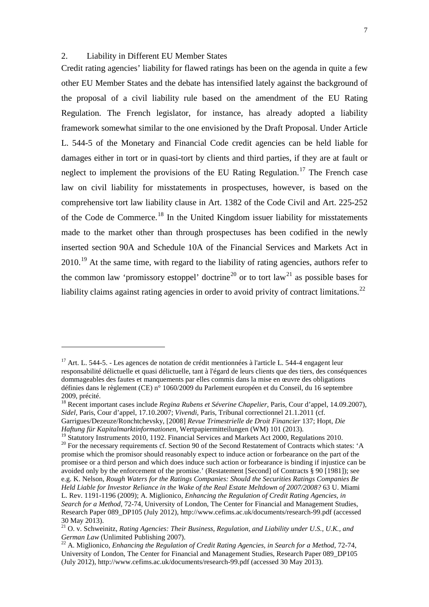#### <span id="page-8-0"></span>2. Liability in Different EU Member States

-

Credit rating agencies' liability for flawed ratings has been on the agenda in quite a few other EU Member States and the debate has intensified lately against the background of the proposal of a civil liability rule based on the amendment of the EU Rating Regulation. The French legislator, for instance, has already adopted a liability framework somewhat similar to the one envisioned by the Draft Proposal. Under Article L. 544-5 of the Monetary and Financial Code credit agencies can be held liable for damages either in tort or in quasi-tort by clients and third parties, if they are at fault or neglect to implement the provisions of the EU Rating Regulation.<sup>[17](#page-8-1)</sup> The French case law on civil liability for misstatements in prospectuses, however, is based on the comprehensive tort law liability clause in Art. 1382 of the Code Civil and Art. 225-252 of the Code de Commerce.<sup>[18](#page-8-2)</sup> In the United Kingdom issuer liability for misstatements made to the market other than through prospectuses has been codified in the newly inserted section 90A and Schedule 10A of the Financial Services and Markets Act in  $2010$ .<sup>[19](#page-8-3)</sup> At the same time, with regard to the liability of rating agencies, authors refer to the common law 'promissory estoppel' doctrine<sup>[20](#page-8-4)</sup> or to tort law<sup>[21](#page-8-5)</sup> as possible bases for liability claims against rating agencies in order to avoid privity of contract limitations.<sup>[22](#page-8-6)</sup>

<span id="page-8-1"></span> $17$  Art. L. 544-5. - Les agences de notation de crédit mentionnées à l'article L. 544-4 engagent leur responsabilité délictuelle et quasi délictuelle, tant à l'égard de leurs clients que des tiers, des conséquences dommageables des fautes et manquements par elles commis dans la mise en œuvre des obligations définies dans le règlement (CE) n° 1060/2009 du Parlement européen et du Conseil, du 16 septembre 2009, précité.

<span id="page-8-2"></span><sup>18</sup> Recent important cases include *Regina Rubens et Séverine Chapelier,* Paris, Cour d'appel, 14.09.2007), *Sidel,* Paris, Cour d'appel, 17.10.2007; *Vivendi,* Paris, Tribunal correctionnel 21.1.2011 (cf. Garrigues/Dezeuze/Ronchtchevsky, [2008] *Revue Trimestrielle de Droit Financier* 137; Hopt, *Die* 

<span id="page-8-4"></span><span id="page-8-3"></span><sup>&</sup>lt;sup>19</sup> Statutory Instruments 2010, 1192. Financial Services and Markets Act 2000, Regulations 2010.<br><sup>20</sup> For the necessary requirements cf. Section 90 of the Second Restatement of Contracts which states: 'A promise which the promisor should reasonably expect to induce action or forbearance on the part of the promisee or a third person and which does induce such action or forbearance is binding if injustice can be avoided only by the enforcement of the promise.' (Restatement [Second] of Contracts § 90 [1981]); see e.g. K. Nelson, *Rough Waters for the Ratings Companies: Should the Securities Ratings Companies Be Held Liable for Investor Reliance in the Wake of the Real Estate Meltdown of 2007/2008?* 63 U. Miami L. Rev. 1191-1196 (2009); A. Miglionico, *Enhancing the Regulation of Credit Rating Agencies, in Search for a Method*, 72-74*,* University of London, The Center for Financial and Management Studies, Research Paper 089\_DP105 (July 2012), http://www.cefims.ac.uk/documents/research-99.pdf (accessed

<span id="page-8-5"></span><sup>&</sup>lt;sup>21</sup> O. v. Schweinitz, Rating Agencies: Their Business, Regulation, and Liability under U.S., U.K., and *German Law* (Unlimited Publishing 2007).<br><sup>22</sup> A. Miglionico, *Enhancing the Regulation of Credit Rating Agencies, in Search for a Method, 72-74,* 

<span id="page-8-6"></span>University of London, The Center for Financial and Management Studies, Research Paper 089\_DP105 (July 2012), http://www.cefims.ac.uk/documents/research-99.pdf (accessed 30 May 2013).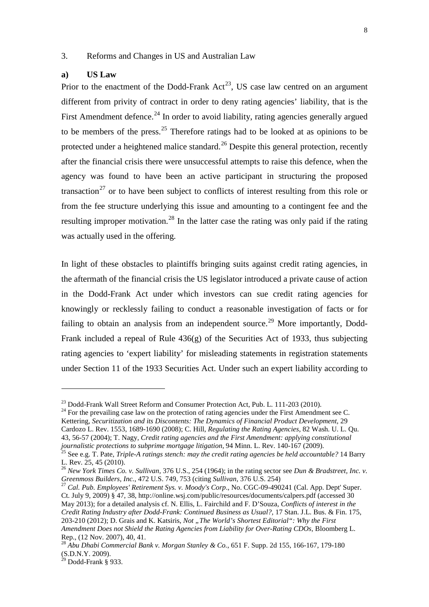#### <span id="page-9-0"></span>3. Reforms and Changes in US and Australian Law

#### <span id="page-9-1"></span>**a) US Law**

Prior to the enactment of the Dodd-Frank  $Act^{23}$ , US case law centred on an argument different from privity of contract in order to deny rating agencies' liability, that is the First Amendment defence.<sup>[24](#page-9-3)</sup> In order to avoid liability, rating agencies generally argued to be members of the press.<sup>[25](#page-9-4)</sup> Therefore ratings had to be looked at as opinions to be protected under a heightened malice standard.<sup>[26](#page-9-5)</sup> Despite this general protection, recently after the financial crisis there were unsuccessful attempts to raise this defence, when the agency was found to have been an active participant in structuring the proposed transaction<sup>[27](#page-9-6)</sup> or to have been subject to conflicts of interest resulting from this role or from the fee structure underlying this issue and amounting to a contingent fee and the resulting improper motivation.<sup>[28](#page-9-7)</sup> In the latter case the rating was only paid if the rating was actually used in the offering.

In light of these obstacles to plaintiffs bringing suits against credit rating agencies, in the aftermath of the financial crisis the US legislator introduced a private cause of action in the Dodd-Frank Act under which investors can sue credit rating agencies for knowingly or recklessly failing to conduct a reasonable investigation of facts or for failing to obtain an analysis from an independent source.<sup>[29](#page-9-8)</sup> More importantly, Dodd-Frank included a repeal of Rule 436(g) of the Securities Act of 1933, thus subjecting rating agencies to 'expert liability' for misleading statements in registration statements under Section 11 of the 1933 Securities Act. Under such an expert liability according to

<span id="page-9-6"></span><sup>27</sup> Cal. Pub. Employees' Retirement Sys. v. Moody's Corp., No. CGC-09-490241 (Cal. App. Dept' Super. Ct. July 9, 2009) § 47, 38, http://online.wsj.com/public/resources/documents/calpers.pdf (accessed 30 May 2013); for a detailed analysis cf. N. Ellis, L. Fairchild and F. D'Souza, *Conflicts of interest in the Credit Rating Industry after Dodd-Frank: Continued Business as Usual?,* 17 Stan. J.L. Bus. & Fin. 175, 203-210 (2012); D. Grais and K. Katsiris, *Not "The World's Shortest Editorial": Why the First Amendment Does not Shield the Rating Agencies from Liability for Over-Rating CDOs,* Bloomberg L. Rep., (12 Nov. 2007), 40, 41.

<span id="page-9-3"></span><span id="page-9-2"></span><sup>&</sup>lt;sup>23</sup> Dodd-Frank Wall Street Reform and Consumer Protection Act, Pub. L. 111-203 (2010).<br><sup>24</sup> For the prevailing case law on the protection of rating agencies under the First Amendment see C. Kettering, *Securitization and its Discontents: The Dynamics of Financial Product Development,* 29 Cardozo L. Rev. 1553, 1689-1690 (2008); C. Hill, *Regulating the Rating Agencies,* 82 Wash. U. L. Qu. 43, 56-57 (2004); T. Nagy*, Credit rating agencies and the First Amendment: applying constitutional* 

<span id="page-9-4"></span><sup>&</sup>lt;sup>25</sup> See e.g. T. Pate, *Triple-A ratings stench: may the credit rating agencies be held accountable?* 14 Barry L. Rev. 25, 45 (2010).

<span id="page-9-5"></span><sup>&</sup>lt;sup>26</sup> *New York Times Co. v. Sullivan, 376 U.S., 254 (1964); in the rating sector see <i>Dun & Bradstreet, Inc. v. Greenmoss Builders, Inc., 472 U.S. 749, 753 (citing Sullivan, 376 U.S. 254)* 

<span id="page-9-7"></span><sup>28</sup> *Abu Dhabi Commercial Bank v. Morgan Stanley & Co.*, 651 F. Supp. 2d 155, 166-167, 179-180 (S.D.N.Y. 2009).

<span id="page-9-8"></span> $^{29}$  Dodd-Frank § 933.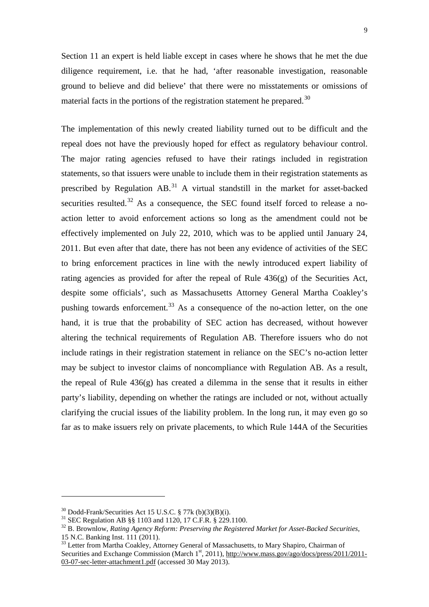Section 11 an expert is held liable except in cases where he shows that he met the due diligence requirement, i.e. that he had, 'after reasonable investigation, reasonable ground to believe and did believe' that there were no misstatements or omissions of material facts in the portions of the registration statement he prepared.<sup>[30](#page-10-0)</sup>

The implementation of this newly created liability turned out to be difficult and the repeal does not have the previously hoped for effect as regulatory behaviour control. The major rating agencies refused to have their ratings included in registration statements, so that issuers were unable to include them in their registration statements as prescribed by Regulation AB.<sup>[31](#page-10-1)</sup> A virtual standstill in the market for asset-backed securities resulted.<sup>[32](#page-10-2)</sup> As a consequence, the SEC found itself forced to release a noaction letter to avoid enforcement actions so long as the amendment could not be effectively implemented on July 22, 2010, which was to be applied until January 24, 2011. But even after that date, there has not been any evidence of activities of the SEC to bring enforcement practices in line with the newly introduced expert liability of rating agencies as provided for after the repeal of Rule 436(g) of the Securities Act, despite some officials', such as Massachusetts Attorney General Martha Coakley's pushing towards enforcement.<sup>[33](#page-10-3)</sup> As a consequence of the no-action letter, on the one hand, it is true that the probability of SEC action has decreased, without however altering the technical requirements of Regulation AB. Therefore issuers who do not include ratings in their registration statement in reliance on the SEC's no-action letter may be subject to investor claims of noncompliance with Regulation AB. As a result, the repeal of Rule  $436(g)$  has created a dilemma in the sense that it results in either party's liability, depending on whether the ratings are included or not, without actually clarifying the crucial issues of the liability problem. In the long run, it may even go so far as to make issuers rely on private placements, to which Rule 144A of the Securities

1

<span id="page-10-2"></span><span id="page-10-1"></span>

<span id="page-10-0"></span><sup>&</sup>lt;sup>30</sup> Dodd-Frank/Securities Act 15 U.S.C. § 77k (b)(3)(B)(i).<br><sup>31</sup> SEC Regulation AB §§ 1103 and 1120, 17 C.F.R. § 229.1100.<br><sup>32</sup> B. Brownlow, *Rating Agency Reform: Preserving the Registered Market for Asset-Backed Securi* 

<span id="page-10-3"></span><sup>&</sup>lt;sup>33</sup> Letter from Martha Coakley, Attorney General of Massachusetts, to Mary Shapiro, Chairman of Securities and Exchange Commission (March 1<sup>st</sup>, 2011)[, http://www.mass.gov/ago/docs/press/2011/2011-](http://www.mass.gov/ago/docs/press/2011/2011-03-07-sec-letter-attachment1.pdf) [03-07-sec-letter-attachment1.pdf](http://www.mass.gov/ago/docs/press/2011/2011-03-07-sec-letter-attachment1.pdf) (accessed 30 May 2013).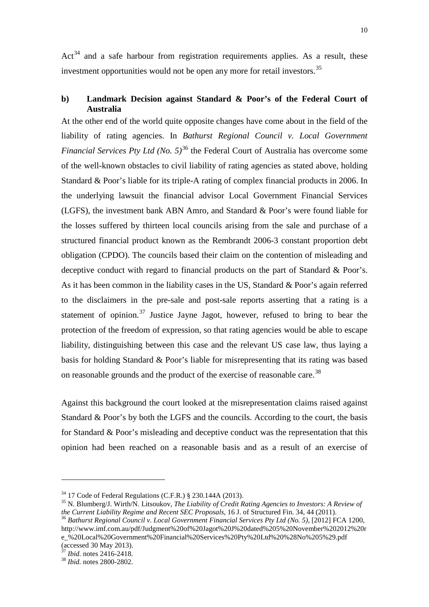$Act<sup>34</sup>$  $Act<sup>34</sup>$  $Act<sup>34</sup>$  and a safe harbour from registration requirements applies. As a result, these investment opportunities would not be open any more for retail investors.<sup>[35](#page-11-2)</sup>

#### <span id="page-11-0"></span>**b) Landmark Decision against Standard & Poor's of the Federal Court of Australia**

At the other end of the world quite opposite changes have come about in the field of the liability of rating agencies. In *Bathurst Regional Council v. Local Government Financial Services Pty Ltd (No. 5)*<sup>[36](#page-11-3)</sup> the Federal Court of Australia has overcome some of the well-known obstacles to civil liability of rating agencies as stated above, holding Standard & Poor's liable for its triple-A rating of complex financial products in 2006. In the underlying lawsuit the financial advisor Local Government Financial Services (LGFS), the investment bank ABN Amro, and Standard & Poor's were found liable for the losses suffered by thirteen local councils arising from the sale and purchase of a structured financial product known as the Rembrandt 2006-3 constant proportion debt obligation (CPDO). The councils based their claim on the contention of misleading and deceptive conduct with regard to financial products on the part of Standard & Poor's. As it has been common in the liability cases in the US, Standard & Poor's again referred to the disclaimers in the pre-sale and post-sale reports asserting that a rating is a statement of opinion.<sup>[37](#page-11-4)</sup> Justice Jayne Jagot, however, refused to bring to bear the protection of the freedom of expression, so that rating agencies would be able to escape liability, distinguishing between this case and the relevant US case law, thus laying a basis for holding Standard & Poor's liable for misrepresenting that its rating was based on reasonable grounds and the product of the exercise of reasonable care.<sup>[38](#page-11-5)</sup>

Against this background the court looked at the misrepresentation claims raised against Standard & Poor's by both the LGFS and the councils. According to the court, the basis for Standard & Poor's misleading and deceptive conduct was the representation that this opinion had been reached on a reasonable basis and as a result of an exercise of

<span id="page-11-2"></span><span id="page-11-1"></span><sup>&</sup>lt;sup>34</sup> 17 Code of Federal Regulations (C.F.R.) § 230.144A (2013).<br><sup>35</sup> N. Blumberg/J. Wirth/N. Litsoukov, *The Liability of Credit Rating Agencies to Investors: A Review of*<br>*the Current Liability Regime and Recent SEC Propo* 

<span id="page-11-3"></span>*the Current Liability Council v. Local Government Financial Services Pty Ltd (No. 5),* [2012] FCA 1200, http://www.imf.com.au/pdf/Judgment%20of%20Jagot%20J%20dated%205%20November%202012%20r e\_%20Local%20Government%20Financial%20Services%20Pty%20Ltd%20%28No%205%29.pdf

<span id="page-11-5"></span><span id="page-11-4"></span><sup>&</sup>lt;sup>37</sup> *Ibid.* notes 2416-2418.<br><sup>38</sup> *Ibid.* notes 2800-2802.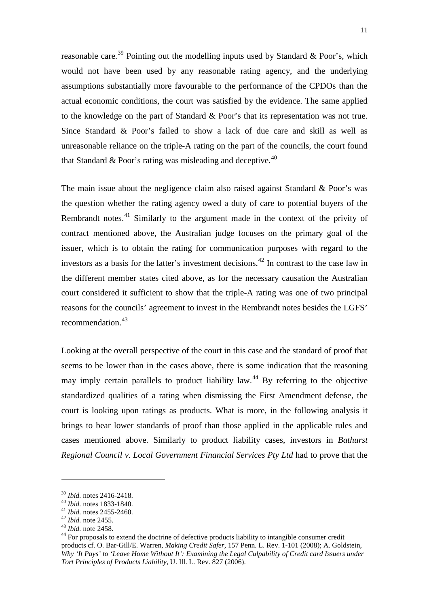reasonable care.<sup>[39](#page-12-0)</sup> Pointing out the modelling inputs used by Standard & Poor's, which would not have been used by any reasonable rating agency, and the underlying assumptions substantially more favourable to the performance of the CPDOs than the actual economic conditions, the court was satisfied by the evidence. The same applied to the knowledge on the part of Standard & Poor's that its representation was not true. Since Standard & Poor's failed to show a lack of due care and skill as well as unreasonable reliance on the triple-A rating on the part of the councils, the court found that Standard & Poor's rating was misleading and deceptive.<sup>[40](#page-12-1)</sup>

The main issue about the negligence claim also raised against Standard & Poor's was the question whether the rating agency owed a duty of care to potential buyers of the Rembrandt notes.<sup>[41](#page-12-2)</sup> Similarly to the argument made in the context of the privity of contract mentioned above, the Australian judge focuses on the primary goal of the issuer, which is to obtain the rating for communication purposes with regard to the investors as a basis for the latter's investment decisions.<sup>[42](#page-12-3)</sup> In contrast to the case law in the different member states cited above, as for the necessary causation the Australian court considered it sufficient to show that the triple-A rating was one of two principal reasons for the councils' agreement to invest in the Rembrandt notes besides the LGFS' recommendation. [43](#page-12-4)

Looking at the overall perspective of the court in this case and the standard of proof that seems to be lower than in the cases above, there is some indication that the reasoning may imply certain parallels to product liability  $law<sup>44</sup>$  $law<sup>44</sup>$  $law<sup>44</sup>$  By referring to the objective standardized qualities of a rating when dismissing the First Amendment defense, the court is looking upon ratings as products. What is more, in the following analysis it brings to bear lower standards of proof than those applied in the applicable rules and cases mentioned above. Similarly to product liability cases, investors in *Bathurst Regional Council v. Local Government Financial Services Pty Ltd* had to prove that the

<span id="page-12-2"></span>

<span id="page-12-3"></span>

<span id="page-12-5"></span><span id="page-12-4"></span>

<span id="page-12-1"></span><span id="page-12-0"></span><sup>&</sup>lt;sup>39</sup> *Ibid.* notes 2416-2418.<br>
<sup>40</sup> *Ibid.* notes 1833-1840.<br>
<sup>41</sup> *Ibid.* notes 2455-2460.<br>
<sup>42</sup> *Ibid.* note 2455.<br>
<sup>43</sup> *Ibid.* note 2458.<br>
<sup>43</sup> *Ibid.* note 2458.<br>
<sup>44</sup> For proposals to extend the doctrine of defectiv products cf. O. Bar-Gill/E. Warren, *Making Credit Safer,* 157 Penn. L. Rev. 1-101 (2008); A. Goldstein, *Why 'It Pays' to 'Leave Home Without It': Examining the Legal Culpability of Credit card Issuers under Tort Principles of Products Liability,* U. Ill. L. Rev. 827 (2006).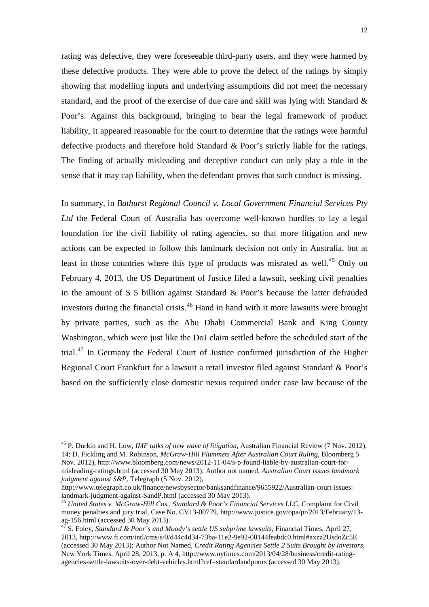rating was defective, they were foreseeable third-party users, and they were harmed by these defective products. They were able to prove the defect of the ratings by simply showing that modelling inputs and underlying assumptions did not meet the necessary standard, and the proof of the exercise of due care and skill was lying with Standard & Poor's. Against this background, bringing to bear the legal framework of product liability, it appeared reasonable for the court to determine that the ratings were harmful defective products and therefore hold Standard & Poor's strictly liable for the ratings. The finding of actually misleading and deceptive conduct can only play a role in the sense that it may cap liability, when the defendant proves that such conduct is missing.

In summary, in *Bathurst Regional Council v. Local Government Financial Services Pty Ltd* the Federal Court of Australia has overcome well-known hurdles to lay a legal foundation for the civil liability of rating agencies, so that more litigation and new actions can be expected to follow this landmark decision not only in Australia, but at least in those countries where this type of products was misrated as well.<sup>[45](#page-13-0)</sup> Only on February 4, 2013, the US Department of Justice filed a lawsuit, seeking civil penalties in the amount of \$ 5 billion against Standard & Poor's because the latter defrauded investors during the financial crisis.<sup>[46](#page-13-1)</sup> Hand in hand with it more lawsuits were brought by private parties, such as the Abu Dhabi Commercial Bank and King County Washington, which were just like the DoJ claim settled before the scheduled start of the trial. $47$  In Germany the Federal Court of Justice confirmed jurisdiction of the Higher Regional Court Frankfurt for a lawsuit a retail investor filed against Standard & Poor's based on the sufficiently close domestic nexus required under case law because of the

<span id="page-13-0"></span><sup>45</sup> P. Durkin and H. Low*, IMF talks of new wave of litigation*, Australian Financial Review (7 Nov. 2012), 14; D. Fickling and M. Robinson, *McGraw-Hill Plummets After Australian Court Ruling*, Bloomberg 5 Nov. 2012), http://www.bloomberg.com/news/2012-11-04/s-p-found-liable-by-australian-court-formisleading-ratings.html (accessed 30 May 2013); Author not named*, Australian Court issues landmark judgment against S&P*, Telegraph (5 Nov. 2012),

http://www.telegraph.co.uk/finance/newsbysector/banksandfinance/9655922/Australian-court-issues-<br>landmark-judgment-against-SandP.html (accessed 30 May 2013).

<span id="page-13-1"></span><sup>&</sup>lt;sup>46</sup> United States v. McGraw-Hill Cos., Standard & Poor's Financial Services LLC, Complaint for Civil money penalties and jury trial, Case No. CV13-00779, [http://www.justice.gov/opa/pr/2013/February/13-](http://www.justice.gov/opa/pr/2013/February/13-ag-156.html)<br>ag-156.html (accessed 30 May 2013).

<span id="page-13-2"></span>[ag-156.html](http://www.justice.gov/opa/pr/2013/February/13-ag-156.html) (accessed 30 May 2013). <sup>47</sup> S. Foley, *Standard & Poor's and Moody's settle US subprime lawsuits,* Financial Times, April 27, 2013,<http://www.ft.com/intl/cms/s/0/d44c4d34-73ba-11e2-9e92-00144feabdc0.html#axzz2UsdoZc5E> (accessed 30 May 2013); Author Not Named, *Credit Rating Agencies Settle 2 Suits Brought by Investors,*  New York Times, April 28, 2013, p. A 4, [http://www.nytimes.com/2013/04/28/business/credit-rating](http://www.nytimes.com/2013/04/28/business/credit-rating-agencies-settle-lawsuits-over-debt-vehicles.html?ref=standardandpoors)[agencies-settle-lawsuits-over-debt-vehicles.html?ref=standardandpoors](http://www.nytimes.com/2013/04/28/business/credit-rating-agencies-settle-lawsuits-over-debt-vehicles.html?ref=standardandpoors) (accessed 30 May 2013).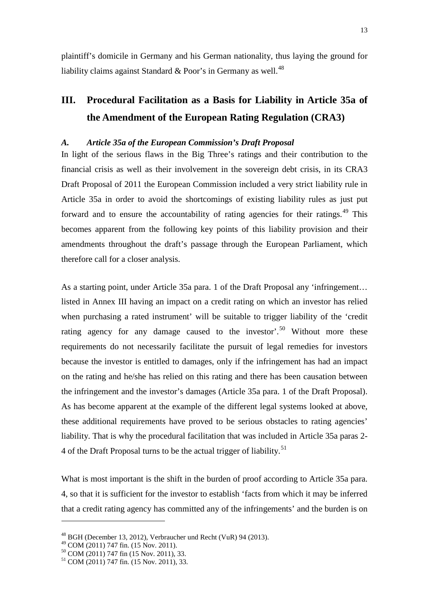plaintiff's domicile in Germany and his German nationality, thus laying the ground for liability claims against Standard & Poor's in Germany as well.<sup>[48](#page-14-2)</sup>

# <span id="page-14-0"></span>**III. Procedural Facilitation as a Basis for Liability in Article 35a of the Amendment of the European Rating Regulation (CRA3)**

### <span id="page-14-1"></span>*A. Article 35a of the European Commission's Draft Proposal*

In light of the serious flaws in the Big Three's ratings and their contribution to the financial crisis as well as their involvement in the sovereign debt crisis, in its CRA3 Draft Proposal of 2011 the European Commission included a very strict liability rule in Article 35a in order to avoid the shortcomings of existing liability rules as just put forward and to ensure the accountability of rating agencies for their ratings.<sup>[49](#page-14-3)</sup> This becomes apparent from the following key points of this liability provision and their amendments throughout the draft's passage through the European Parliament, which therefore call for a closer analysis.

As a starting point, under Article 35a para. 1 of the Draft Proposal any 'infringement… listed in Annex III having an impact on a credit rating on which an investor has relied when purchasing a rated instrument' will be suitable to trigger liability of the 'credit rating agency for any damage caused to the investor<sup>'.[50](#page-14-4)</sup> Without more these requirements do not necessarily facilitate the pursuit of legal remedies for investors because the investor is entitled to damages, only if the infringement has had an impact on the rating and he/she has relied on this rating and there has been causation between the infringement and the investor's damages (Article 35a para. 1 of the Draft Proposal). As has become apparent at the example of the different legal systems looked at above, these additional requirements have proved to be serious obstacles to rating agencies' liability. That is why the procedural facilitation that was included in Article 35a paras 2- 4 of the Draft Proposal turns to be the actual trigger of liability.<sup>[51](#page-14-5)</sup>

What is most important is the shift in the burden of proof according to Article 35a para. 4, so that it is sufficient for the investor to establish 'facts from which it may be inferred that a credit rating agency has committed any of the infringements' and the burden is on

<span id="page-14-3"></span><span id="page-14-2"></span><sup>&</sup>lt;sup>48</sup> BGH (December 13, 2012), Verbraucher und Recht (VuR) 94 (2013).<br><sup>49</sup> COM (2011) 747 fin. (15 Nov. 2011). 33.<br><sup>50</sup> COM (2011) 747 fin. (15 Nov. 2011), 33.<br><sup>51</sup> COM (2011) 747 fin. (15 Nov. 2011), 33.

<span id="page-14-4"></span>

<span id="page-14-5"></span>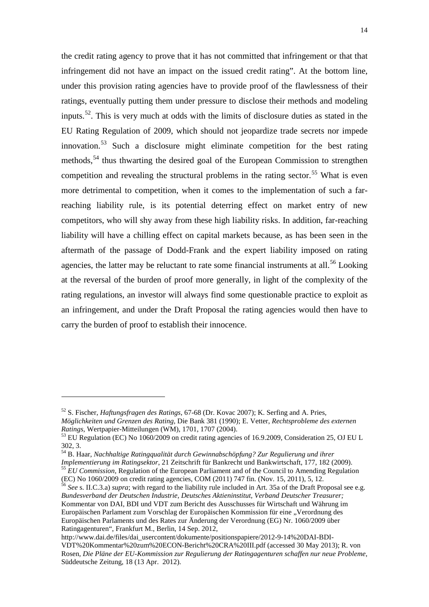the credit rating agency to prove that it has not committed that infringement or that that infringement did not have an impact on the issued credit rating". At the bottom line, under this provision rating agencies have to provide proof of the flawlessness of their ratings, eventually putting them under pressure to disclose their methods and modeling inputs.[52](#page-15-0). This is very much at odds with the limits of disclosure duties as stated in the EU Rating Regulation of 2009, which should not jeopardize trade secrets nor impede innovation.<sup>[53](#page-15-1)</sup> Such a disclosure might eliminate competition for the best rating methods,[54](#page-15-2) thus thwarting the desired goal of the European Commission to strengthen competition and revealing the structural problems in the rating sector.<sup>[55](#page-15-3)</sup> What is even more detrimental to competition, when it comes to the implementation of such a farreaching liability rule, is its potential deterring effect on market entry of new competitors, who will shy away from these high liability risks. In addition, far-reaching liability will have a chilling effect on capital markets because, as has been seen in the aftermath of the passage of Dodd-Frank and the expert liability imposed on rating agencies, the latter may be reluctant to rate some financial instruments at all.<sup>[56](#page-15-4)</sup> Looking at the reversal of the burden of proof more generally, in light of the complexity of the rating regulations, an investor will always find some questionable practice to exploit as an infringement, and under the Draft Proposal the rating agencies would then have to carry the burden of proof to establish their innocence.

<span id="page-15-0"></span><sup>52</sup> S. Fischer, *Haftungsfragen des Ratings*, 67-68 (Dr. Kovac 2007); K. Serfing and A. Pries*, Möglichkeiten und Grenzen des Rating,* Die Bank 381 (1990); E. Vetter, *Rechtsprobleme des externen* 

<span id="page-15-1"></span><sup>&</sup>lt;sup>53</sup> EU Regulation (EC) No 1060/2009 on credit rating agencies of 16.9.2009, Consideration 25, OJ EU L 302, 3.

<span id="page-15-2"></span><sup>&</sup>lt;sup>54</sup> B. Haar, *Nachhaltige Ratingqualität durch Gewinnabschöpfung? Zur Regulierung und ihrer<br><i>Implementierung im Ratingsektor*, 21 Zeitschrift für Bankrecht und Bankwirtschaft, 177, 182 (2009). <sup>55</sup> *EU Commission*, Regulation of the European Parliament and of the Council to Amending Regulation (EC) No 1060/2009 on credit rating agencies, COM (2011) 747 fin. (Nov. 15, 2011), 5, 12.

<span id="page-15-4"></span><span id="page-15-3"></span><sup>&</sup>lt;sup>56</sup> See s. II.C.3.a) *supra*; with regard to the liability rule included in Art. 35a of the Draft Proposal see e.g. *Bundesverband der Deutschen Industrie, Deutsches Aktieninstitut, Verband Deutscher Treasurer;*  Kommentar von DAI, BDI und VDT zum Bericht des Ausschusses für Wirtschaft und Währung im Europäischen Parlament zum Vorschlag der Europäischen Kommission für eine "Verordnung des Europäischen Parlaments und des Rates zur Änderung der Verordnung (EG) Nr. 1060/2009 über Ratingagenturen", Frankfurt M., Berlin, 14 Sep. 2012,

http://www.dai.de/files/dai\_usercontent/dokumente/positionspapiere/2012-9-14%20DAI-BDI-VDT%20Kommentar%20zum%20ECON-Bericht%20CRA%20III.pdf (accessed 30 May 2013); R. von Rosen*, Die Pläne der EU-Kommission zur Regulierung der Ratingagenturen schaffen nur neue Probleme*, Süddeutsche Zeitung, 18 (13 Apr. 2012).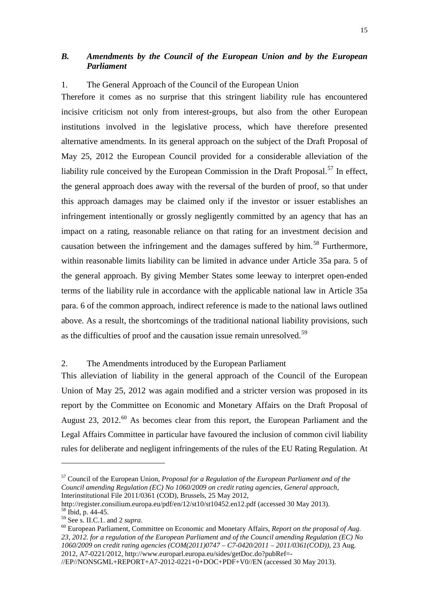## <span id="page-16-0"></span>*B. Amendments by the Council of the European Union and by the European Parliament*

## <span id="page-16-1"></span>1. The General Approach of the Council of the European Union

Therefore it comes as no surprise that this stringent liability rule has encountered incisive criticism not only from interest-groups, but also from the other European institutions involved in the legislative process, which have therefore presented alternative amendments. In its general approach on the subject of the Draft Proposal of May 25, 2012 the European Council provided for a considerable alleviation of the liability rule conceived by the European Commission in the Draft Proposal.<sup>[57](#page-16-3)</sup> In effect, the general approach does away with the reversal of the burden of proof, so that under this approach damages may be claimed only if the investor or issuer establishes an infringement intentionally or grossly negligently committed by an agency that has an impact on a rating, reasonable reliance on that rating for an investment decision and causation between the infringement and the damages suffered by him.<sup>[58](#page-16-4)</sup> Furthermore, within reasonable limits liability can be limited in advance under Article 35a para. 5 of the general approach. By giving Member States some leeway to interpret open-ended terms of the liability rule in accordance with the applicable national law in Article 35a para. 6 of the common approach, indirect reference is made to the national laws outlined above. As a result, the shortcomings of the traditional national liability provisions, such as the difficulties of proof and the causation issue remain unresolved.<sup>[59](#page-16-5)</sup>

## <span id="page-16-2"></span>2. The Amendments introduced by the European Parliament

This alleviation of liability in the general approach of the Council of the European Union of May 25, 2012 was again modified and a stricter version was proposed in its report by the Committee on Economic and Monetary Affairs on the Draft Proposal of August 23, 2012.<sup>[60](#page-16-6)</sup> As becomes clear from this report, the European Parliament and the Legal Affairs Committee in particular have favoured the inclusion of common civil liability rules for deliberate and negligent infringements of the rules of the EU Rating Regulation. At

<span id="page-16-3"></span><sup>57</sup> Council of the European Union*, Proposal for a Regulation of the European Parliament and of the Council amending Regulation (EC) No 1060/2009 on credit rating agencies, General approach*, Interinstitutional File 2011/0361 (COD), Brussels, 25 May 2012,

<span id="page-16-4"></span>http://register.consilium.europa.eu/pdf/en/12/st10/st10452.en12.pdf (accessed 30 May 2013).<br><sup>58</sup> Ibid, p. 44-45.<br><sup>59</sup> See s. II.C.1. and 2 *supra*.

<span id="page-16-6"></span><span id="page-16-5"></span><sup>&</sup>lt;sup>60</sup> European Parliament, Committee on Economic and Monetary Affairs, *Report on the proposal of Aug. 23, 2012. for a regulation of the European Parliament and of the Council amending Regulation (EC) No 1060/2009 on credit rating agencies (COM(2011)0747 – C7-0420/2011 – 2011/0361(COD))*, 23 Aug. 2012, A7-0221/2012, http://www.europarl.europa.eu/sides/getDoc.do?pubRef=-

<sup>//</sup>EP//NONSGML+REPORT+A7-2012-0221+0+DOC+PDF+V0//EN (accessed 30 May 2013).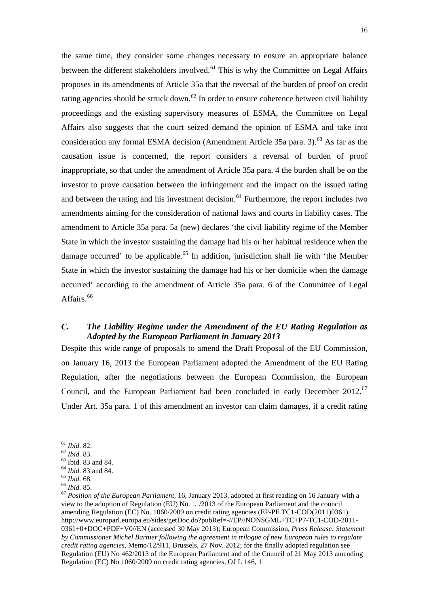the same time, they consider some changes necessary to ensure an appropriate balance between the different stakeholders involved.<sup>[61](#page-17-1)</sup> This is why the Committee on Legal Affairs proposes in its amendments of Article 35a that the reversal of the burden of proof on credit rating agencies should be struck down.<sup>[62](#page-17-2)</sup> In order to ensure coherence between civil liability proceedings and the existing supervisory measures of ESMA, the Committee on Legal Affairs also suggests that the court seized demand the opinion of ESMA and take into consideration any formal ESMA decision (Amendment Article 35a para. 3).<sup>[63](#page-17-3)</sup> As far as the causation issue is concerned, the report considers a reversal of burden of proof inappropriate, so that under the amendment of Article 35a para. 4 the burden shall be on the investor to prove causation between the infringement and the impact on the issued rating and between the rating and his investment decision.<sup>[64](#page-17-4)</sup> Furthermore, the report includes two amendments aiming for the consideration of national laws and courts in liability cases. The amendment to Article 35a para. 5a (new) declares 'the civil liability regime of the Member State in which the investor sustaining the damage had his or her habitual residence when the damage occurred' to be applicable.<sup>[65](#page-17-5)</sup> In addition, jurisdiction shall lie with 'the Member State in which the investor sustaining the damage had his or her domicile when the damage occurred' according to the amendment of Article 35a para. 6 of the Committee of Legal Affairs.<sup>[66](#page-17-6)</sup>

## <span id="page-17-0"></span>*C. The Liability Regime under the Amendment of the EU Rating Regulation as Adopted by the European Parliament in January 2013*

Despite this wide range of proposals to amend the Draft Proposal of the EU Commission, on January 16, 2013 the European Parliament adopted the Amendment of the EU Rating Regulation, after the negotiations between the European Commission, the European Council, and the European Parliament had been concluded in early December 2012.<sup>[67](#page-17-7)</sup> Under Art. 35a para. 1 of this amendment an investor can claim damages, if a credit rating

<span id="page-17-3"></span>

<span id="page-17-5"></span><span id="page-17-4"></span>

<span id="page-17-7"></span><span id="page-17-6"></span>

<span id="page-17-2"></span><span id="page-17-1"></span><sup>&</sup>lt;sup>61</sup> *Ibid.* 82.<br>
<sup>62</sup> *Ibid.* 83.<br>
<sup>63</sup> *Ibid.* 83 and 84.<br>
<sup>64</sup> *Ibid.* 83 and 84.<br>
<sup>65</sup> *Ibid.* 68.<br>
<sup>66</sup> *Ibid.* 85.<br>
<sup>66</sup> *Ibid.* 85.<br>
<sup>66</sup> *Position of the European Parliament*, 16, January 2013, adopted at first re view to the adoption of Regulation (EU) No. …/2013 of the European Parliament and the council amending Regulation (EC) No. 1060/2009 on credit rating agencies (EP-PE TC1-COD(2011)0361), [http://www.europarl.europa.eu/sides/getDoc.do?pubRef=-//EP//NONSGML+TC+P7-TC1-COD-2011-](http://www.europarl.europa.eu/sides/getDoc.do?pubRef=-//EP//NONSGML+TC+P7-TC1-COD-2011-0361+0+DOC+PDF+V0//EN) [0361+0+DOC+PDF+V0//EN](http://www.europarl.europa.eu/sides/getDoc.do?pubRef=-//EP//NONSGML+TC+P7-TC1-COD-2011-0361+0+DOC+PDF+V0//EN) (accessed 30 May 2013); European Commission, *Press Release: Statement by Commissioner Michel Barnier following the agreement in trilogue of new European rules to regulate credit rating agencies*, Memo/12/911, Brussels, 27 Nov. 2012; for the finally adopted regulation see Regulation (EU) No 462/2013 of the European Parliament and of the Council of 21 May 2013 amending Regulation (EC) No 1060/2009 on credit rating agencies, OJ L 146, 1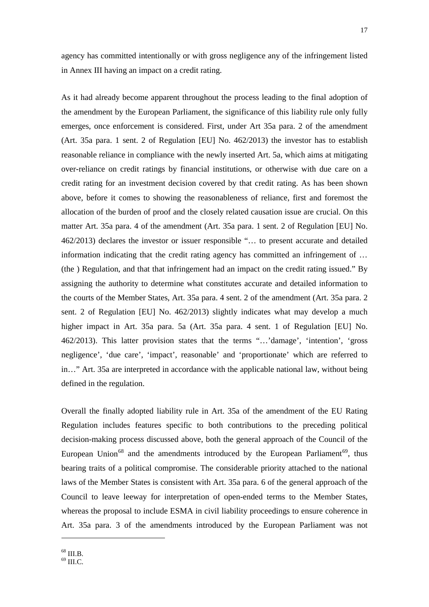agency has committed intentionally or with gross negligence any of the infringement listed in Annex III having an impact on a credit rating.

As it had already become apparent throughout the process leading to the final adoption of the amendment by the European Parliament, the significance of this liability rule only fully emerges, once enforcement is considered. First, under Art 35a para. 2 of the amendment (Art. 35a para. 1 sent. 2 of Regulation [EU] No. 462/2013) the investor has to establish reasonable reliance in compliance with the newly inserted Art. 5a, which aims at mitigating over-reliance on credit ratings by financial institutions, or otherwise with due care on a credit rating for an investment decision covered by that credit rating. As has been shown above, before it comes to showing the reasonableness of reliance, first and foremost the allocation of the burden of proof and the closely related causation issue are crucial. On this matter Art. 35a para. 4 of the amendment (Art. 35a para. 1 sent. 2 of Regulation [EU] No. 462/2013) declares the investor or issuer responsible "… to present accurate and detailed information indicating that the credit rating agency has committed an infringement of … (the ) Regulation, and that that infringement had an impact on the credit rating issued." By assigning the authority to determine what constitutes accurate and detailed information to the courts of the Member States, Art. 35a para. 4 sent. 2 of the amendment (Art. 35a para. 2 sent. 2 of Regulation [EU] No. 462/2013) slightly indicates what may develop a much higher impact in Art. 35a para. 5a (Art. 35a para. 4 sent. 1 of Regulation [EU] No. 462/2013). This latter provision states that the terms "…'damage', 'intention', 'gross negligence', 'due care', 'impact', reasonable' and 'proportionate' which are referred to in…" Art. 35a are interpreted in accordance with the applicable national law, without being defined in the regulation.

Overall the finally adopted liability rule in Art. 35a of the amendment of the EU Rating Regulation includes features specific to both contributions to the preceding political decision-making process discussed above, both the general approach of the Council of the European Union<sup>[68](#page-18-0)</sup> and the amendments introduced by the European Parliament<sup>69</sup>, thus bearing traits of a political compromise. The considerable priority attached to the national laws of the Member States is consistent with Art. 35a para. 6 of the general approach of the Council to leave leeway for interpretation of open-ended terms to the Member States, whereas the proposal to include ESMA in civil liability proceedings to ensure coherence in Art. 35a para. 3 of the amendments introduced by the European Parliament was not

<span id="page-18-0"></span> $\frac{68}{69}$  III.B.

<span id="page-18-1"></span>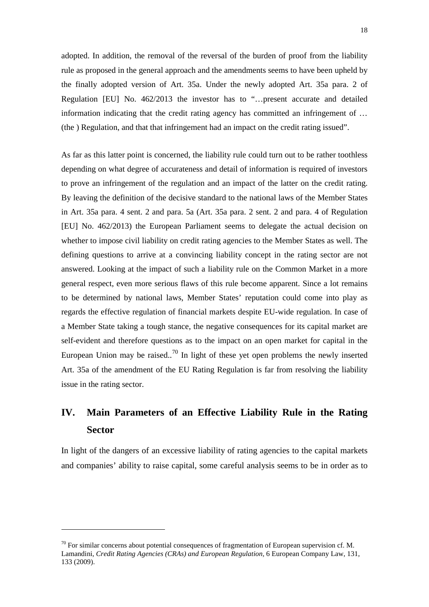adopted. In addition, the removal of the reversal of the burden of proof from the liability rule as proposed in the general approach and the amendments seems to have been upheld by the finally adopted version of Art. 35a. Under the newly adopted Art. 35a para. 2 of Regulation [EU] No. 462/2013 the investor has to "…present accurate and detailed information indicating that the credit rating agency has committed an infringement of … (the ) Regulation, and that that infringement had an impact on the credit rating issued".

As far as this latter point is concerned, the liability rule could turn out to be rather toothless depending on what degree of accurateness and detail of information is required of investors to prove an infringement of the regulation and an impact of the latter on the credit rating. By leaving the definition of the decisive standard to the national laws of the Member States in Art. 35a para. 4 sent. 2 and para. 5a (Art. 35a para. 2 sent. 2 and para. 4 of Regulation [EU] No. 462/2013) the European Parliament seems to delegate the actual decision on whether to impose civil liability on credit rating agencies to the Member States as well. The defining questions to arrive at a convincing liability concept in the rating sector are not answered. Looking at the impact of such a liability rule on the Common Market in a more general respect, even more serious flaws of this rule become apparent. Since a lot remains to be determined by national laws, Member States' reputation could come into play as regards the effective regulation of financial markets despite EU-wide regulation. In case of a Member State taking a tough stance, the negative consequences for its capital market are self-evident and therefore questions as to the impact on an open market for capital in the European Union may be raised..<sup>[70](#page-19-1)</sup> In light of these yet open problems the newly inserted Art. 35a of the amendment of the EU Rating Regulation is far from resolving the liability issue in the rating sector.

# <span id="page-19-0"></span>**IV. Main Parameters of an Effective Liability Rule in the Rating Sector**

In light of the dangers of an excessive liability of rating agencies to the capital markets and companies' ability to raise capital, some careful analysis seems to be in order as to

<span id="page-19-1"></span> $70$  For similar concerns about potential consequences of fragmentation of European supervision cf. M. Lamandini, *Credit Rating Agencies (CRAs) and European Regulation*, 6 European Company Law, 131, 133 (2009).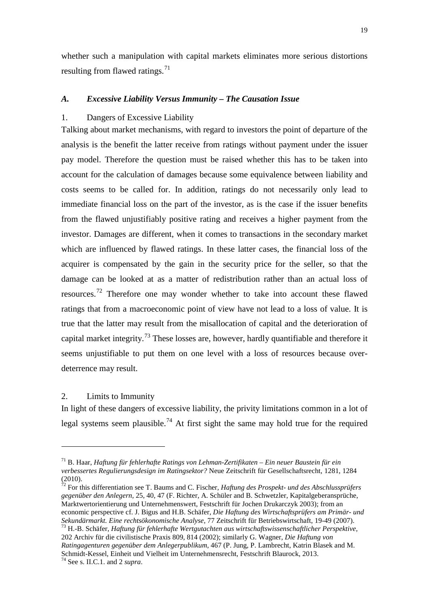whether such a manipulation with capital markets eliminates more serious distortions resulting from flawed ratings.<sup>[71](#page-20-3)</sup>

## <span id="page-20-0"></span>*A. Excessive Liability Versus Immunity – The Causation Issue*

#### <span id="page-20-1"></span>1. Dangers of Excessive Liability

Talking about market mechanisms, with regard to investors the point of departure of the analysis is the benefit the latter receive from ratings without payment under the issuer pay model. Therefore the question must be raised whether this has to be taken into account for the calculation of damages because some equivalence between liability and costs seems to be called for. In addition, ratings do not necessarily only lead to immediate financial loss on the part of the investor, as is the case if the issuer benefits from the flawed unjustifiably positive rating and receives a higher payment from the investor. Damages are different, when it comes to transactions in the secondary market which are influenced by flawed ratings. In these latter cases, the financial loss of the acquirer is compensated by the gain in the security price for the seller, so that the damage can be looked at as a matter of redistribution rather than an actual loss of resources.<sup>[72](#page-20-4)</sup> Therefore one may wonder whether to take into account these flawed ratings that from a macroeconomic point of view have not lead to a loss of value. It is true that the latter may result from the misallocation of capital and the deterioration of capital market integrity.<sup>[73](#page-20-5)</sup> These losses are, however, hardly quantifiable and therefore it seems unjustifiable to put them on one level with a loss of resources because overdeterrence may result.

#### <span id="page-20-2"></span>2. Limits to Immunity

-

In light of these dangers of excessive liability, the privity limitations common in a lot of legal systems seem plausible.<sup>[74](#page-20-6)</sup> At first sight the same may hold true for the required

<span id="page-20-3"></span><sup>71</sup> B. Haar, *Haftung für fehlerhafte Ratings von Lehman-Zertifikaten – Ein neuer Baustein für ein verbessertes Regulierungsdesign im Ratingsektor?* Neue Zeitschrift für Gesellschaftsrecht, 1281, 1284 (2010). <sup>72</sup> For this differentiation see T. Baums and C. Fischer*, Haftung des Prospekt- und des Abschlussprüfers* 

<span id="page-20-4"></span>*gegenüber den Anlegern,* 25, 40, 47 (F. Richter, A. Schüler and B. Schwetzler, Kapitalgeberansprüche, Marktwertorientierung und Unternehmenswert, Festschrift für Jochen Drukarczyk 2003); from an economic perspective cf. J. Bigus and H.B. Schäfer, *Die Haftung des Wirtschaftsprüfers am Primär- und*  <sup>73</sup> H.-B. Schäfer, *Haftung für fehlerhafte Wertgutachten aus wirtschaftswissenschaftlicher Perspektive,* 202 Archiv für die civilistische Praxis 809, 814 (2002); similarly G. Wagner, *Die Haftung von Ratingagenturen gegenüber dem Anlegerpublikum*, 467 (P. Jung, P. Lambrecht, Katrin Blasek and M. Schmidt-Kessel, Einheit und Vielheit im Unternehmensrecht, Festschrift Blaurock, 2013.<br><sup>74</sup> See s. II.C.1. and 2 *supra*.

<span id="page-20-6"></span><span id="page-20-5"></span>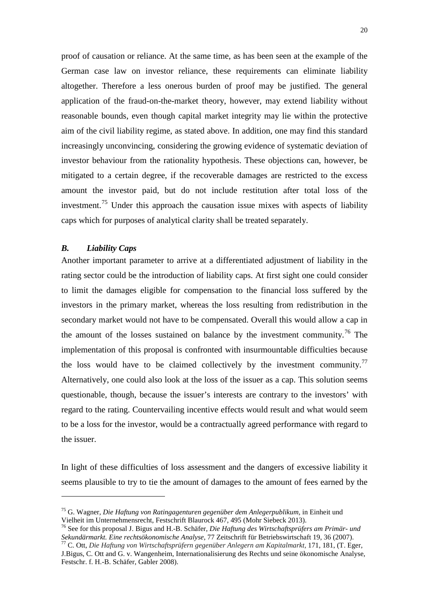proof of causation or reliance. At the same time, as has been seen at the example of the German case law on investor reliance, these requirements can eliminate liability altogether. Therefore a less onerous burden of proof may be justified. The general application of the fraud-on-the-market theory, however, may extend liability without reasonable bounds, even though capital market integrity may lie within the protective aim of the civil liability regime, as stated above. In addition, one may find this standard increasingly unconvincing, considering the growing evidence of systematic deviation of investor behaviour from the rationality hypothesis. These objections can, however, be mitigated to a certain degree, if the recoverable damages are restricted to the excess amount the investor paid, but do not include restitution after total loss of the investment.<sup>[75](#page-21-1)</sup> Under this approach the causation issue mixes with aspects of liability caps which for purposes of analytical clarity shall be treated separately.

#### <span id="page-21-0"></span>*B. Liability Caps*

1

Another important parameter to arrive at a differentiated adjustment of liability in the rating sector could be the introduction of liability caps. At first sight one could consider to limit the damages eligible for compensation to the financial loss suffered by the investors in the primary market, whereas the loss resulting from redistribution in the secondary market would not have to be compensated. Overall this would allow a cap in the amount of the losses sustained on balance by the investment community.<sup>[76](#page-21-2)</sup> The implementation of this proposal is confronted with insurmountable difficulties because the loss would have to be claimed collectively by the investment community.<sup>[77](#page-21-3)</sup> Alternatively, one could also look at the loss of the issuer as a cap. This solution seems questionable, though, because the issuer's interests are contrary to the investors' with regard to the rating. Countervailing incentive effects would result and what would seem to be a loss for the investor, would be a contractually agreed performance with regard to the issuer.

In light of these difficulties of loss assessment and the dangers of excessive liability it seems plausible to try to tie the amount of damages to the amount of fees earned by the

<span id="page-21-1"></span><sup>&</sup>lt;sup>75</sup> G. Wagner, *Die Haftung von Ratingagenturen gegenüber dem Anlegerpublikum*, in Einheit und<br>Vielheit im Unternehmensrecht. Festschrift Blaurock 467, 495 (Mohr Siebeck 2013).

<span id="page-21-2"></span><sup>&</sup>lt;sup>76</sup> See for this proposal J. Bigus and H.-B. Schäfer, *Die Haftung des Wirtschaftsprüfers am Primär- und Sekundärmarkt. Eine rechtsökonomische Analyse,* <sup>77</sup> Zeitschrift für Betriebswirtschaft 19, 36 (2007). <sup>77</sup> C. Ott, *Die Haftung von Wirtschaftsprüfern gegenüber Anlegern am Kapitalmarkt,* 171, 181, (T. Eger,

<span id="page-21-3"></span>J.Bigus, C. Ott and G. v. Wangenheim, Internationalisierung des Rechts und seine ökonomische Analyse, Festschr. f. H.-B. Schäfer, Gabler 2008).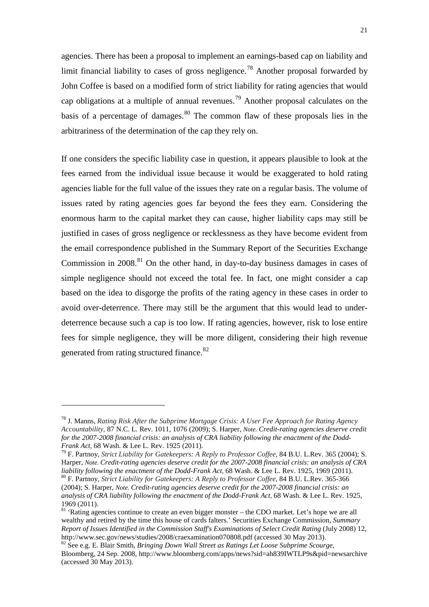agencies. There has been a proposal to implement an earnings-based cap on liability and limit financial liability to cases of gross negligence.<sup>[78](#page-22-0)</sup> Another proposal forwarded by John Coffee is based on a modified form of strict liability for rating agencies that would cap obligations at a multiple of annual revenues.<sup>[79](#page-22-1)</sup> Another proposal calculates on the basis of a percentage of damages. $80$  The common flaw of these proposals lies in the arbitrariness of the determination of the cap they rely on.

If one considers the specific liability case in question, it appears plausible to look at the fees earned from the individual issue because it would be exaggerated to hold rating agencies liable for the full value of the issues they rate on a regular basis. The volume of issues rated by rating agencies goes far beyond the fees they earn. Considering the enormous harm to the capital market they can cause, higher liability caps may still be justified in cases of gross negligence or recklessness as they have become evident from the email correspondence published in the Summary Report of the Securities Exchange Commission in 2008.<sup>[81](#page-22-3)</sup> On the other hand, in day-to-day business damages in cases of simple negligence should not exceed the total fee. In fact, one might consider a cap based on the idea to disgorge the profits of the rating agency in these cases in order to avoid over-deterrence. There may still be the argument that this would lead to underdeterrence because such a cap is too low. If rating agencies, however, risk to lose entire fees for simple negligence, they will be more diligent, considering their high revenue generated from rating structured finance.<sup>[82](#page-22-4)</sup>

-

<span id="page-22-2"></span><span id="page-22-1"></span><sup>79</sup> F. Partnoy, *Strict Liability for Gatekeepers: A Reply to Professor Coffee, 84 B.U. L.Rev. 365 (2004); S.* Harper, *Note. Credit-rating agencies deserve credit for the 2007-2008 financial crisis: an analysis of CRA liability following the enactment of the Dodd-Frank Act, 68 Wash. & Lee L. Rev. 1925, 1969 (2011). liability following the enactment of the Dodd-Frank Act*, 68 Wash. & Lee L. Rev. 1925, 1969 (2011). <sup>80</sup> F. Partnoy, *Strict Liability for Gatekeepers: A Reply to Professor Coffee,* <sup>84</sup> B.U. L.Rev. 365-366 (2004); S. Harper, *Note. Credit-rating agencies deserve credit for the 2007-2008 financial crisis: an analysis of CRA liability following the enactment of the Dodd-Frank Act*, 68 Wash. & Lee L. Rev. 1925, 1969 (2011).<br><sup>81</sup> 'Rating agencies continue to create an even bigger monster – the CDO market. Let's hope we are all

<span id="page-22-0"></span><sup>78</sup> J. Manns, *Rating Risk After the Subprime Mortgage Crisis: A User Fee Approach for Rating Agency Accountability,* 87 N.C. L. Rev. 1011, 1076 (2009); S. Harper, *Note. Credit-rating agencies deserve credit for the 2007-2008 financial crisis: an analysis of CRA liability following the enactment of the Dodd-*

<span id="page-22-3"></span>wealthy and retired by the time this house of cards falters.' Securities Exchange Commission, *[Summary](http://www.sec.gov/news/studies/2008/craexamination070808.pdf)  [Report of Issues Identified in the Commission Staff's Examinations of Select Credit Rating](http://www.sec.gov/news/studies/2008/craexamination070808.pdf)* (July 2008) 12, <http://www.sec.gov/news/studies/2008/craexamination070808.pdf> (accessed 30 May 2013). <sup>82</sup> See e.g. E. Blair Smith*, Bringing Down Wall Street as Ratings Let Loose Subprime Scourge*,

<span id="page-22-4"></span>Bloomberg, 24 Sep. 2008, http://www.bloomberg.com/apps/news?sid=ah839IWTLP9s&pid=newsarchive (accessed 30 May 2013).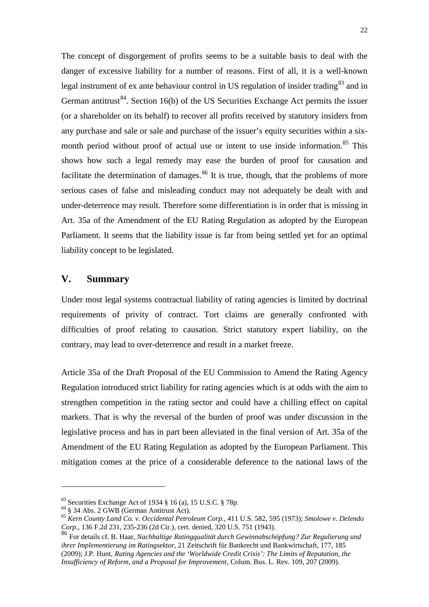The concept of disgorgement of profits seems to be a suitable basis to deal with the danger of excessive liability for a number of reasons. First of all, it is a well-known legal instrument of ex ante behaviour control in US regulation of insider trading<sup>[83](#page-23-1)</sup> and in German antitrust<sup>[84](#page-23-2)</sup>. Section 16(b) of the US Securities Exchange Act permits the issuer (or a shareholder on its behalf) to recover all profits received by statutory insiders from any purchase and sale or sale and purchase of the issuer's equity securities within a six-month period without proof of actual use or intent to use inside information.<sup>[85](#page-23-3)</sup> This shows how such a legal remedy may ease the burden of proof for causation and facilitate the determination of damages.<sup>[86](#page-23-4)</sup> It is true, though, that the problems of more serious cases of false and misleading conduct may not adequately be dealt with and under-deterrence may result. Therefore some differentiation is in order that is missing in Art. 35a of the Amendment of the EU Rating Regulation as adopted by the European Parliament. It seems that the liability issue is far from being settled yet for an optimal liability concept to be legislated.

## <span id="page-23-0"></span>**V. Summary**

Under most legal systems contractual liability of rating agencies is limited by doctrinal requirements of privity of contract. Tort claims are generally confronted with difficulties of proof relating to causation. Strict statutory expert liability, on the contrary, may lead to over-deterrence and result in a market freeze.

Article 35a of the Draft Proposal of the EU Commission to Amend the Rating Agency Regulation introduced strict liability for rating agencies which is at odds with the aim to strengthen competition in the rating sector and could have a chilling effect on capital markets. That is why the reversal of the burden of proof was under discussion in the legislative process and has in part been alleviated in the final version of Art. 35a of the Amendment of the EU Rating Regulation as adopted by the European Parliament. This mitigation comes at the price of a considerable deference to the national laws of the

<span id="page-23-3"></span><span id="page-23-2"></span>

<span id="page-23-1"></span><sup>&</sup>lt;sup>83</sup> Securities Exchange Act of 1934 § 16 (a), 15 U.S.C. § 78p.<br><sup>84</sup> § 34 Abs. 2 GWB (German Antitrust Act).<br><sup>85</sup> *Kern County Land Co. v. Occidental Petroleum Corp.*, 411 U.S. 582, 595 (1973); *Smolowe v. Delendo Corp.,* 136 F.2d 231, 235-236 (2d Cir.), cert. denied, 320 U.S. 751 (1943).

<span id="page-23-4"></span><sup>86</sup> For details cf. B. Haar, *Nachhaltige Ratingqualität durch Gewinnabschöpfung? Zur Regulierung und ihrer Implementierung im Ratingsektor*, 21 Zeitschrift für Bankrecht und Bankwirtschaft, 177, 185 (2009); J.P. Hunt, *Rating Agencies and the 'Worldwide Credit Crisis': The Limits of Reputation, the Insufficiency of Reform, and a Proposal for Improvement,* Colum. Bus. L. Rev. 109, 207 (2009).